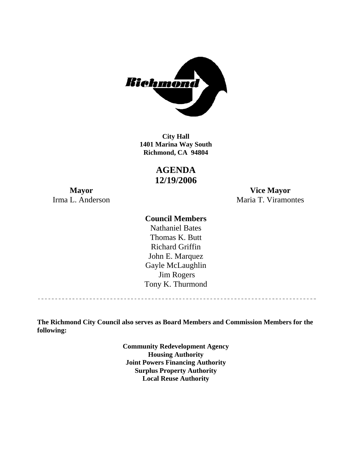

**1401 Marina Way South Richmond, CA 94804 City Hall** 

> **AGENDA 12/19/2006**

**Mayor Vice Mayor**  Irma L. Anderson Maria T. Viramontes

### **Council Members**

Gayle McLaughlin Jim Rogers Tony K. Thurmond Nathaniel Bates Thomas K. Butt Richard Griffin John E. Marquez

**The Richmond City Council also serves as Board Members and Commission Members for the following:** 

> **Community Redevelopment Agency Housing Authority Joint Powers Financing Authority Surplus Property Authority Local Reuse Authority**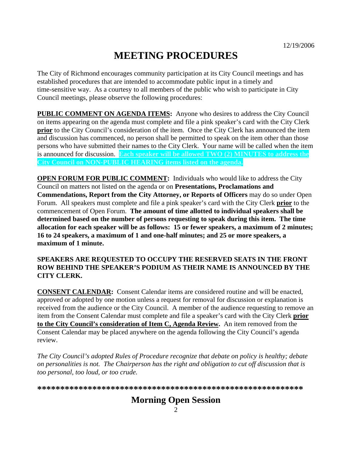# **MEETING PROCEDURES**

The City of Richmond encourages community participation at its City Council meetings and has established procedures that are intended to accommodate public input in a timely and time-sensitive way. As a courtesy to all members of the public who wish to participate in City Council meetings, please observe the following procedures:

**PUBLIC COMMENT ON AGENDA ITEMS:** Anyone who desires to address the City Council on items appearing on the agenda must complete and file a pink speaker's card with the City Clerk **prior** to the City Council's consideration of the item. Once the City Clerk has announced the item and discussion has commenced, no person shall be permitted to speak on the item other than those persons who have submitted their names to the City Clerk. Your name will be called when the item is announced for discussion. **Each speaker will be allowed TWO (2) MINUTES to address the City Council on NON-PUBLIC HEARING items listed on the agenda.** 

**OPEN FORUM FOR PUBLIC COMMENT:** Individuals who would like to address the City Council on matters not listed on the agenda or on **Presentations, Proclamations and Commendations, Report from the City Attorney, or Reports of Officers** may do so under Open Forum. All speakers must complete and file a pink speaker's card with the City Clerk **prior** to the commencement of Open Forum. **The amount of time allotted to individual speakers shall be determined based on the number of persons requesting to speak during this item. The time allocation for each speaker will be as follows: 15 or fewer speakers, a maximum of 2 minutes; 16 to 24 speakers, a maximum of 1 and one-half minutes; and 25 or more speakers, a maximum of 1 minute.** 

#### **SPEAKERS ARE REQUESTED TO OCCUPY THE RESERVED SEATS IN THE FRONT ROW BEHIND THE SPEAKER'S PODIUM AS THEIR NAME IS ANNOUNCED BY THE CITY CLERK.**

**CONSENT CALENDAR:** Consent Calendar items are considered routine and will be enacted, approved or adopted by one motion unless a request for removal for discussion or explanation is received from the audience or the City Council. A member of the audience requesting to remove an item from the Consent Calendar must complete and file a speaker's card with the City Clerk **prior to the City Council's consideration of Item C, Agenda Review.** An item removed from the Consent Calendar may be placed anywhere on the agenda following the City Council's agenda review.

*The City Council's adopted Rules of Procedure recognize that debate on policy is healthy; debate on personalities is not. The Chairperson has the right and obligation to cut off discussion that is too personal, too loud, or too crude.* 

**\*\*\*\*\*\*\*\*\*\*\*\*\*\*\*\*\*\*\*\*\*\*\*\*\*\*\*\*\*\*\*\*\*\*\*\*\*\*\*\*\*\*\*\*\*\*\*\*\*\*\*\*\*\*\*\*\*\***

# **Morning Open Session**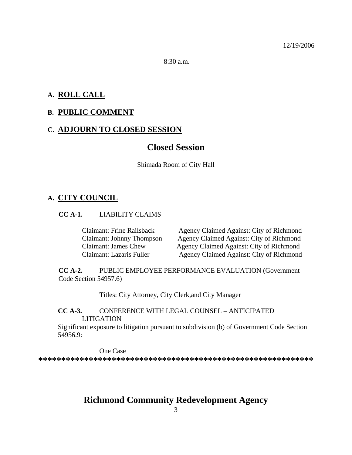$8:30 a.m.$ 

### **A. ROLL CALL**

### **B. PUBLIC COMMENT**

### **C. ADJOURN TO CLOSED SESSION**

### **Closed Session**

Shimada Room of City Hall

#### **A. CITY COUNCIL**

#### **CC A-1.** LIABILITY CLAIMS

Claimant: Frine Railsback Agency Claimed Against: City of Richmond Claimant: Johnny Thompson Agency Claimed Against: City of Richmond Claimant: James Chew Agency Claimed Against: City of Richmond Claimant: Lazaris Fuller Agency Claimed Against: City of Richmond

**CC A-2.** PUBLIC EMPLOYEE PERFORMANCE EVALUATION (Government Code Section 54957.6)

Titles: City Attorney, City Clerk,and City Manager

### **CC A-3.** CONFERENCE WITH LEGAL COUNSEL – ANTICIPATED LITIGATION

Significant exposure to litigation pursuant to subdivision (b) of Government Code Section 54956.9:

One Case

**\*\*\*\*\*\*\*\*\*\*\*\*\*\*\*\*\*\*\*\*\*\*\*\*\*\*\*\*\*\*\*\*\*\*\*\*\*\*\*\*\*\*\*\*\*\*\*\*\*\*\*\*\*\*\*\*\*\*\*\*** 

# **Richmond Community Redevelopment Agency**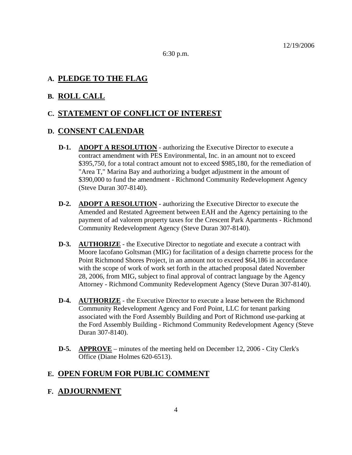6:30 p.m.

### **A. PLEDGE TO THE FLAG**

### **B. ROLL CALL**

### **C. STATEMENT OF CONFLICT OF INTEREST**

#### **D. CONSENT CALENDAR**

- **D-1. ADOPT A RESOLUTION** authorizing the Executive Director to execute a contract amendment with PES Environmental, Inc. in an amount not to exceed \$395,750, for a total contract amount not to exceed \$985,180, for the remediation of "Area T," Marina Bay and authorizing a budget adjustment in the amount of \$390,000 to fund the amendment - Richmond Community Redevelopment Agency (Steve Duran 307-8140).
- **D-2. ADOPT A RESOLUTION** authorizing the Executive Director to execute the Amended and Restated Agreement between EAH and the Agency pertaining to the payment of ad valorem property taxes for the Crescent Park Apartments - Richmond Community Redevelopment Agency (Steve Duran 307-8140).
- **D-3. AUTHORIZE** the Executive Director to negotiate and execute a contract with Moore Iacofano Goltsman (MIG) for facilitation of a design charrette process for the Point Richmond Shores Project, in an amount not to exceed \$64,186 in accordance with the scope of work of work set forth in the attached proposal dated November 28, 2006, from MIG, subject to final approval of contract language by the Agency Attorney - Richmond Community Redevelopment Agency (Steve Duran 307-8140).
- **D-4. AUTHORIZE** the Executive Director to execute a lease between the Richmond Community Redevelopment Agency and Ford Point, LLC for tenant parking associated with the Ford Assembly Building and Port of Richmond use-parking at the Ford Assembly Building - Richmond Community Redevelopment Agency (Steve Duran 307-8140).
- **D-5. APPROVE** minutes of the meeting held on December 12, 2006 City Clerk's Office (Diane Holmes 620-6513).

### **E. OPEN FORUM FOR PUBLIC COMMENT**

### **F. ADJOURNMENT**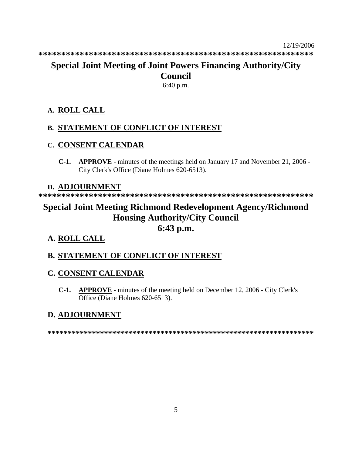# **Special Joint Meeting of Joint Powers Financing Authority/City Council**

6:40 p.m.

# **A. ROLL CALL**

# **B. STATEMENT OF CONFLICT OF INTEREST**

# **C. CONSENT CALENDAR**

**C-1. APPROVE** - minutes of the meetings held on January 17 and November 21, 2006 - City Clerk's Office (Diane Holmes 620-6513).

# **D. ADJOURNMENT**

**\*\*\*\*\*\*\*\*\*\*\*\*\*\*\*\*\*\*\*\*\*\*\*\*\*\*\*\*\*\*\*\*\*\*\*\*\*\*\*\*\*\*\*\*\*\*\*\*\*\*\*\*\*\*\*\*\*\*\*\*** 

# **Special Joint Meeting Richmond Redevelopment Agency/Richmond Housing Authority/City Council 6:43 p.m.**

# **A. ROLL CALL**

# **B. STATEMENT OF CONFLICT OF INTEREST**

# **C. CONSENT CALENDAR**

**C-1. APPROVE** - minutes of the meeting held on December 12, 2006 - City Clerk's Office (Diane Holmes 620-6513).

# **D. ADJOURNMENT**

**\*\*\*\*\*\*\*\*\*\*\*\*\*\*\*\*\*\*\*\*\*\*\*\*\*\*\*\*\*\*\*\*\*\*\*\*\*\*\*\*\*\*\*\*\*\*\*\*\*\*\*\*\*\*\*\*\*\*\*\*\*\*\*\*\*\***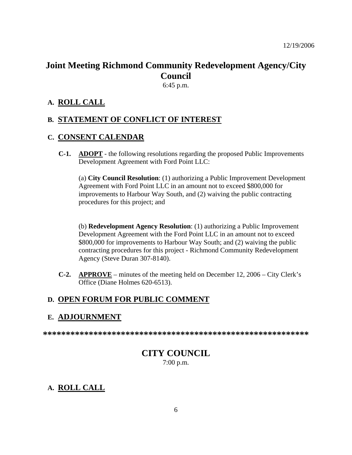# **Joint Meeting Richmond Community Redevelopment Agency/City Council**

6:45 p.m.

### **A. ROLL CALL**

### **B. STATEMENT OF CONFLICT OF INTEREST**

### **C. CONSENT CALENDAR**

**C-1. ADOPT** - the following resolutions regarding the proposed Public Improvements Development Agreement with Ford Point LLC:

(a) **City Council Resolution**: (1) authorizing a Public Improvement Development Agreement with Ford Point LLC in an amount not to exceed \$800,000 for improvements to Harbour Way South, and (2) waiving the public contracting procedures for this project; and

(b) **Redevelopment Agency Resolution**: (1) authorizing a Public Improvement Development Agreement with the Ford Point LLC in an amount not to exceed \$800,000 for improvements to Harbour Way South; and (2) waiving the public contracting procedures for this project - Richmond Community Redevelopment Agency (Steve Duran 307-8140).

**C-2. APPROVE** – minutes of the meeting held on December 12, 2006 – City Clerk's Office (Diane Holmes 620-6513).

### **D. OPEN FORUM FOR PUBLIC COMMENT**

### **E. ADJOURNMENT**

**\*\*\*\*\*\*\*\*\*\*\*\*\*\*\*\*\*\*\*\*\*\*\*\*\*\*\*\*\*\*\*\*\*\*\*\*\*\*\*\*\*\*\*\*\*\*\*\*\*\*\*\*\*\*\*\*\*\*** 

### **CITY COUNCIL**  7:00 p.m.

### **A. ROLL CALL**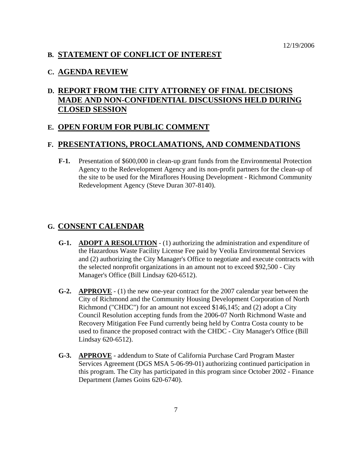### **B. STATEMENT OF CONFLICT OF INTEREST**

#### **C. AGENDA REVIEW**

## **D. REPORT FROM THE CITY ATTORNEY OF FINAL DECISIONS MADE AND NON-CONFIDENTIAL DISCUSSIONS HELD DURING CLOSED SESSION**

### **E. OPEN FORUM FOR PUBLIC COMMENT**

### **F. PRESENTATIONS, PROCLAMATIONS, AND COMMENDATIONS**

**F-1.** Presentation of \$600,000 in clean-up grant funds from the Environmental Protection Agency to the Redevelopment Agency and its non-profit partners for the clean-up of the site to be used for the Miraflores Housing Development - Richmond Community Redevelopment Agency (Steve Duran 307-8140).

#### **G. CONSENT CALENDAR**

- **G-1. ADOPT A RESOLUTION** (1) authorizing the administration and expenditure of the Hazardous Waste Facility License Fee paid by Veolia Environmental Services and (2) authorizing the City Manager's Office to negotiate and execute contracts with the selected nonprofit organizations in an amount not to exceed \$92,500 - City Manager's Office (Bill Lindsay 620-6512).
- **G-2. APPROVE** (1) the new one-year contract for the 2007 calendar year between the City of Richmond and the Community Housing Development Corporation of North Richmond ("CHDC") for an amount not exceed \$146,145; and (2) adopt a City Council Resolution accepting funds from the 2006-07 North Richmond Waste and Recovery Mitigation Fee Fund currently being held by Contra Costa county to be used to finance the proposed contract with the CHDC - City Manager's Office (Bill Lindsay 620-6512).
- **G-3. APPROVE** addendum to State of California Purchase Card Program Master Services Agreement (DGS MSA 5-06-99-01) authorizing continued participation in this program. The City has participated in this program since October 2002 - Finance Department (James Goins 620-6740).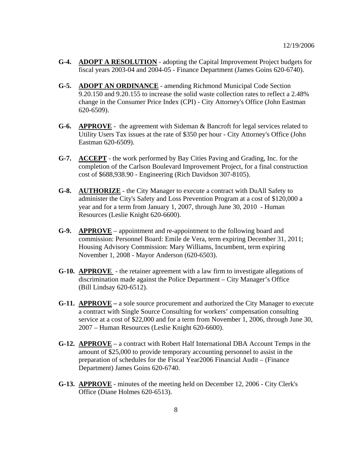- **G-4. ADOPT A RESOLUTION** adopting the Capital Improvement Project budgets for fiscal years 2003-04 and 2004-05 - Finance Department (James Goins 620-6740).
- **G-5. ADOPT AN ORDINANCE** amending Richmond Municipal Code Section 9.20.150 and 9.20.155 to increase the solid waste collection rates to reflect a 2.48% change in the Consumer Price Index (CPI) - City Attorney's Office (John Eastman 620-6509).
- **G-6. APPROVE** the agreement with Sideman & Bancroft for legal services related to Utility Users Tax issues at the rate of \$350 per hour - City Attorney's Office (John Eastman 620-6509).
- **G-7. ACCEPT** the work performed by Bay Cities Paving and Grading, Inc. for the completion of the Carlson Boulevard Improvement Project, for a final construction cost of \$688,938.90 - Engineering (Rich Davidson 307-8105).
- **G-8. AUTHORIZE** the City Manager to execute a contract with DuAll Safety to administer the City's Safety and Loss Prevention Program at a cost of \$120,000 a year and for a term from January 1, 2007, through June 30, 2010 - Human Resources (Leslie Knight 620-6600).
- **G-9. APPROVE** appointment and re-appointment to the following board and commission: Personnel Board: Emile de Vera, term expiring December 31, 2011; Housing Advisory Commission: Mary Williams, Incumbent, term expiring November 1, 2008 - Mayor Anderson (620-6503).
- **G-10. APPROVE**  the retainer agreement with a law firm to investigate allegations of discrimination made against the Police Department – City Manager's Office (Bill Lindsay 620-6512).
- **G-11. APPROVE** a sole source procurement and authorized the City Manager to execute a contract with Single Source Consulting for workers' compensation consulting service at a cost of \$22,000 and for a term from November 1, 2006, through June 30, 2007 – Human Resources (Leslie Knight 620-6600).
- **G-12. APPROVE** a contract with Robert Half International DBA Account Temps in the amount of \$25,000 to provide temporary accounting personnel to assist in the preparation of schedules for the Fiscal Year2006 Financial Audit – (Finance Department) James Goins 620-6740.
- **G-13. APPROVE** minutes of the meeting held on December 12, 2006 City Clerk's Office (Diane Holmes 620-6513).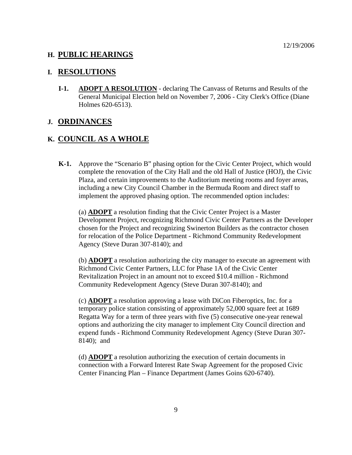### **H. PUBLIC HEARINGS**

#### **I. RESOLUTIONS**

**I-1. ADOPT A RESOLUTION** - declaring The Canvass of Returns and Results of the General Municipal Election held on November 7, 2006 - City Clerk's Office (Diane Holmes 620-6513).

#### **J. ORDINANCES**

### **K. COUNCIL AS A WHOLE**

**K-1.** Approve the "Scenario B" phasing option for the Civic Center Project, which would complete the renovation of the City Hall and the old Hall of Justice (HOJ), the Civic Plaza, and certain improvements to the Auditorium meeting rooms and foyer areas, including a new City Council Chamber in the Bermuda Room and direct staff to implement the approved phasing option. The recommended option includes:

(a) **ADOPT** a resolution finding that the Civic Center Project is a Master Development Project, recognizing Richmond Civic Center Partners as the Developer chosen for the Project and recognizing Swinerton Builders as the contractor chosen for relocation of the Police Department - Richmond Community Redevelopment Agency (Steve Duran 307-8140); and

(b) **ADOPT** a resolution authorizing the city manager to execute an agreement with Richmond Civic Center Partners, LLC for Phase 1A of the Civic Center Revitalization Project in an amount not to exceed \$10.4 million - Richmond Community Redevelopment Agency (Steve Duran 307-8140); and

(c) **ADOPT** a resolution approving a lease with DiCon Fiberoptics, Inc. for a temporary police station consisting of approximately 52,000 square feet at 1689 Regatta Way for a term of three years with five (5) consecutive one-year renewal options and authorizing the city manager to implement City Council direction and expend funds - Richmond Community Redevelopment Agency (Steve Duran 307- 8140); and

(d) **ADOPT** a resolution authorizing the execution of certain documents in connection with a Forward Interest Rate Swap Agreement for the proposed Civic Center Financing Plan – Finance Department (James Goins 620-6740).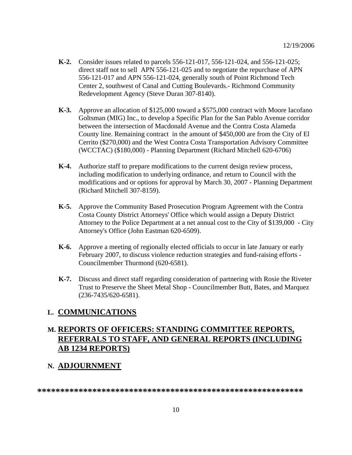- **K-2.** Consider issues related to parcels 556-121-017, 556-121-024, and 556-121-025; direct staff not to sell APN 556-121-025 and to negotiate the repurchase of APN 556-121-017 and APN 556-121-024, generally south of Point Richmond Tech Center 2, southwest of Canal and Cutting Boulevards.- Richmond Community Redevelopment Agency (Steve Duran 307-8140).
- **K-3.** Approve an allocation of \$125,000 toward a \$575,000 contract with Moore Iacofano Goltsman (MIG) Inc., to develop a Specific Plan for the San Pablo Avenue corridor between the intersection of Macdonald Avenue and the Contra Costa Alameda County line. Remaining contract in the amount of \$450,000 are from the City of El Cerrito (\$270,000) and the West Contra Costa Transportation Advisory Committee (WCCTAC) (\$180,000) - Planning Department (Richard Mitchell 620-6706)
- **K-4.** Authorize staff to prepare modifications to the current design review process, including modification to underlying ordinance, and return to Council with the modifications and or options for approval by March 30, 2007 - Planning Department (Richard Mitchell 307-8159).
- **K-5.** Approve the Community Based Prosecution Program Agreement with the Contra Costa County District Attorneys' Office which would assign a Deputy District Attorney to the Police Department at a net annual cost to the City of \$139,000 - City Attorney's Office (John Eastman 620-6509).
- **K-6.** Approve a meeting of regionally elected officials to occur in late January or early February 2007, to discuss violence reduction strategies and fund-raising efforts - Councilmember Thurmond (620-6581).
- **K-7.** Discuss and direct staff regarding consideration of partnering with Rosie the Riveter Trust to Preserve the Sheet Metal Shop - Councilmember Butt, Bates, and Marquez (236-7435/620-6581).

### **L. COMMUNICATIONS**

### **M. REPORTS OF OFFICERS: STANDING COMMITTEE REPORTS, REFERRALS TO STAFF, AND GENERAL REPORTS (INCLUDING AB 1234 REPORTS)**

### **N. ADJOURNMENT**

**\*\*\*\*\*\*\*\*\*\*\*\*\*\*\*\*\*\*\*\*\*\*\*\*\*\*\*\*\*\*\*\*\*\*\*\*\*\*\*\*\*\*\*\*\*\*\*\*\*\*\*\*\*\*\*\*\*\***